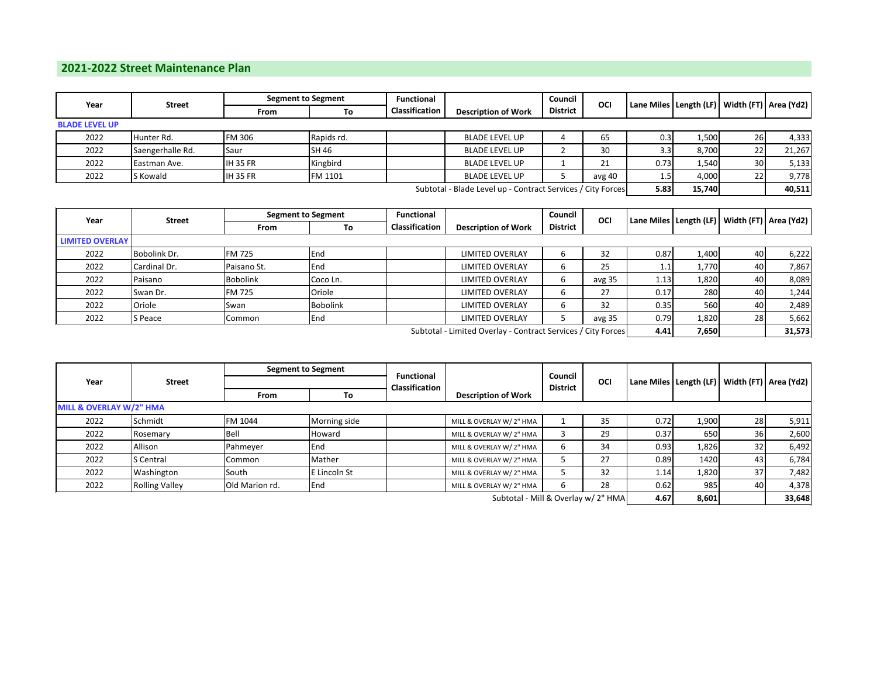## **2021-2022 Street Maintenance Plan**

| Year                                                        | <b>Street</b>    | <b>Segment to Segment</b> |            | <b>Functional</b>     |                            | Council         | OCI    |        | Lane Miles   Length (LF)   Width (FT)   Area (Yd2) |           |        |
|-------------------------------------------------------------|------------------|---------------------------|------------|-----------------------|----------------------------|-----------------|--------|--------|----------------------------------------------------|-----------|--------|
|                                                             |                  | From                      | To         | <b>Classification</b> | <b>Description of Work</b> | <b>District</b> |        |        |                                                    |           |        |
| <b>BLADE LEVEL UP</b>                                       |                  |                           |            |                       |                            |                 |        |        |                                                    |           |        |
| 2022                                                        | Hunter Rd.       | <b>FM 306</b>             | Rapids rd. |                       | <b>BLADE LEVEL UP</b>      |                 | 65     | 0.31   | 1,500                                              | <b>26</b> | 4,333  |
| 2022                                                        | Saengerhalle Rd. | Saur                      | SH 46      |                       | <b>BLADE LEVEL UP</b>      |                 | 30     | 3.3    | 8,700                                              | 22        | 21,267 |
| 2022                                                        | Eastman Ave.     | <b>IH 35 FR</b>           | Kingbird   |                       | <b>BLADE LEVEL UP</b>      |                 | 21     | 0.73   | 1,540                                              | 30        | 5,133  |
| 2022                                                        | S Kowald         | <b>IH 35 FR</b>           | FM 1101    |                       | <b>BLADE LEVEL UP</b>      |                 | avg 40 | 1.5    | 4,000                                              | 22        | 9,778  |
| Subtotal - Blade Level up - Contract Services / City Forces |                  |                           |            |                       |                            |                 | 5.83   | 15,740 |                                                    | 40,511    |        |

| Year                                                         | <b>Street</b> |                 | <b>Segment to Segment</b> |                       | Functional                 |                 | Council<br>OCI | Lane Miles   Length (LF)   Width (FT)   Area (Yd2) |       |           |       |
|--------------------------------------------------------------|---------------|-----------------|---------------------------|-----------------------|----------------------------|-----------------|----------------|----------------------------------------------------|-------|-----------|-------|
|                                                              |               | From            | To                        | <b>Classification</b> | <b>Description of Work</b> | <b>District</b> |                |                                                    |       |           |       |
| <b>LIMITED OVERLAY</b>                                       |               |                 |                           |                       |                            |                 |                |                                                    |       |           |       |
| 2022                                                         | Bobolink Dr.  | <b>FM 725</b>   | <b>E</b> nd               |                       | <b>LIMITED OVERLAY</b>     | b               | 32             | 0.87                                               | 1,400 | 40        | 6,222 |
| 2022                                                         | Cardinal Dr.  | Paisano St.     | <b>I</b> End              |                       | <b>LIMITED OVERLAY</b>     | ь               | 25             | 1.1                                                | 1,770 | 40        | 7,867 |
| 2022                                                         | Paisano       | <b>Bobolink</b> | Coco Ln.                  |                       | <b>LIMITED OVERLAY</b>     | 6               | avg 35         | 1.13                                               | 1,820 | 40        | 8,089 |
| 2022                                                         | Swan Dr.      | <b>FM 725</b>   | Oriole                    |                       | <b>LIMITED OVERLAY</b>     | 6               | 27             | 0.17                                               | 280   | 40        | 1,244 |
| 2022                                                         | Oriole        | Swan            | <b>Bobolink</b>           |                       | <b>LIMITED OVERLAY</b>     | 6               | 32             | 0.35                                               | 560 l | 40        | 2,489 |
| 2022                                                         | S Peace       | Common          | End                       |                       | <b>LIMITED OVERLAY</b>     |                 | avg 35         | 0.79                                               | 1,820 | <b>28</b> | 5,662 |
| Subtotal - Limited Overlay - Contract Services / City Forces |               |                 |                           |                       |                            |                 | 4.41           | 7,650                                              |       | 31,573    |       |

|                                     | Street                | <b>Segment to Segment</b> |              |                                     |                            | Council<br>OCI<br><b>District</b> |    |      |       |                 |                                                    |
|-------------------------------------|-----------------------|---------------------------|--------------|-------------------------------------|----------------------------|-----------------------------------|----|------|-------|-----------------|----------------------------------------------------|
| Year                                |                       |                           |              | <b>Functional</b><br>Classification |                            |                                   |    |      |       |                 | Lane Miles   Length (LF)   Width (FT)   Area (Yd2) |
|                                     |                       | From                      | To           |                                     | <b>Description of Work</b> |                                   |    |      |       |                 |                                                    |
| MILL & OVERLAY W/2" HMA             |                       |                           |              |                                     |                            |                                   |    |      |       |                 |                                                    |
| 2022                                | Schmidt               | FM 1044                   | Morning side |                                     | MILL & OVERLAY W/ 2" HMA   |                                   | 35 | 0.72 | 1,900 | 28              | 5,911                                              |
| 2022                                | Rosemary              | Bell                      | Howard       |                                     | MILL & OVERLAY W/ 2" HMA   |                                   | 29 | 0.37 | 650   | 36              | 2,600                                              |
| 2022                                | Allison               | Pahmeyer                  | End          |                                     | MILL & OVERLAY W/ 2" HMA   | b                                 | 34 | 0.93 | 1,826 | 32              | 6,492                                              |
| 2022                                | <b>S</b> Central      | lCommon                   | Mather       |                                     | MILL & OVERLAY W/ 2" HMA   | л                                 | 27 | 0.89 | 1420  | 43              | 6,784                                              |
| 2022                                | Washington            | South                     | E Lincoln St |                                     | MILL & OVERLAY W/ 2" HMA   |                                   | 32 | 1.14 | 1,820 | 37 <sup>l</sup> | 7,482                                              |
| 2022                                | <b>Rolling Valley</b> | Old Marion rd.            | End          |                                     | MILL & OVERLAY W/ 2" HMA   | 6                                 | 28 | 0.62 | 985   | 40              | 4,378                                              |
| Subtotal - Mill & Overlay w/ 2" HMA |                       |                           |              |                                     |                            |                                   |    | 4.67 | 8,601 |                 | 33,648                                             |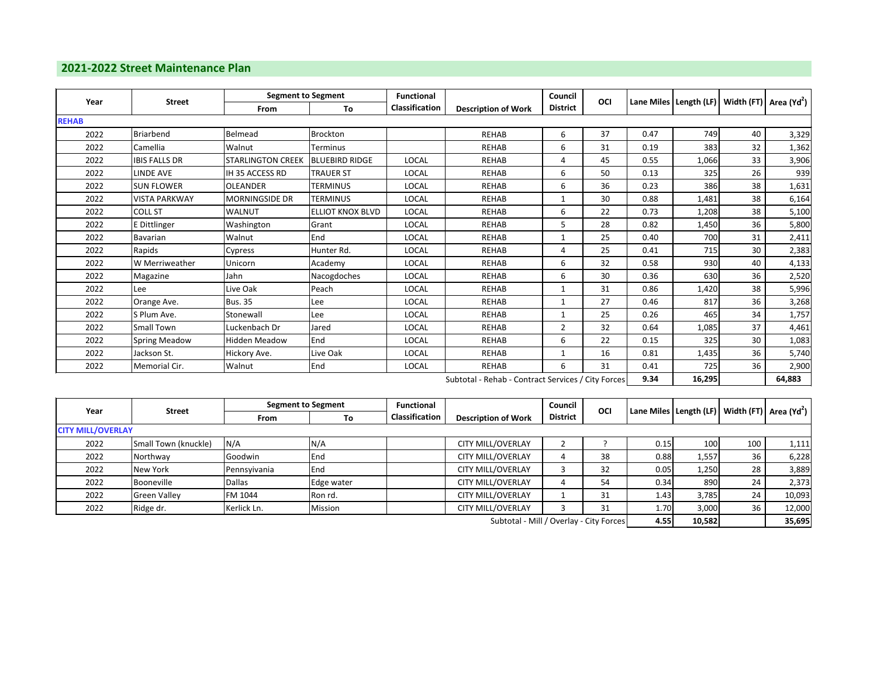## **2021-2022 Street Maintenance Plan**

| Year<br><b>Street</b>                              |                      |                          | <b>Segment to Segment</b> |                            |                 | Council        | OCI  |                                                                 |       |        |       |
|----------------------------------------------------|----------------------|--------------------------|---------------------------|----------------------------|-----------------|----------------|------|-----------------------------------------------------------------|-------|--------|-------|
|                                                    | From                 | To                       | Classification            | <b>Description of Work</b> | <b>District</b> |                |      | Lane Miles   Length (LF)   Width (FT)   Area (Yd <sup>2</sup> ) |       |        |       |
| <b>REHAB</b>                                       |                      |                          |                           |                            |                 |                |      |                                                                 |       |        |       |
| 2022                                               | <b>Briarbend</b>     | Belmead                  | Brockton                  |                            | <b>REHAB</b>    | 6              | 37   | 0.47                                                            | 749   | 40     | 3,329 |
| 2022                                               | Camellia             | Walnut                   | <b>Terminus</b>           |                            | <b>REHAB</b>    | 6              | 31   | 0.19                                                            | 383   | 32     | 1,362 |
| 2022                                               | <b>IBIS FALLS DR</b> | <b>STARLINGTON CREEK</b> | <b>BLUEBIRD RIDGE</b>     | LOCAL                      | <b>REHAB</b>    | 4              | 45   | 0.55                                                            | 1,066 | 33     | 3,906 |
| 2022                                               | <b>LINDE AVE</b>     | IH 35 ACCESS RD          | <b>TRAUER ST</b>          | <b>LOCAL</b>               | <b>REHAB</b>    | 6              | 50   | 0.13                                                            | 325   | 26     | 939   |
| 2022                                               | <b>SUN FLOWER</b>    | <b>OLEANDER</b>          | <b>TERMINUS</b>           | <b>LOCAL</b>               | <b>REHAB</b>    | 6              | 36   | 0.23                                                            | 386   | 38     | 1,631 |
| 2022                                               | <b>VISTA PARKWAY</b> | <b>MORNINGSIDE DR</b>    | <b>TERMINUS</b>           | <b>LOCAL</b>               | <b>REHAB</b>    | 1              | 30   | 0.88                                                            | 1,481 | 38     | 6,164 |
| 2022                                               | COLL ST              | <b>WALNUT</b>            | <b>ELLIOT KNOX BLVD</b>   | LOCAL                      | <b>REHAB</b>    | 6              | 22   | 0.73                                                            | 1,208 | 38     | 5,100 |
| 2022                                               | E Dittlinger         | Washington               | Grant                     | <b>LOCAL</b>               | <b>REHAB</b>    | 5              | 28   | 0.82                                                            | 1,450 | 36     | 5,800 |
| 2022                                               | Bavarian             | Walnut                   | End                       | LOCAL                      | <b>REHAB</b>    |                | 25   | 0.40                                                            | 700   | 31     | 2,411 |
| 2022                                               | Rapids               | Cypress                  | Hunter Rd.                | <b>LOCAL</b>               | <b>REHAB</b>    | 4              | 25   | 0.41                                                            | 715   | 30     | 2,383 |
| 2022                                               | W Merriweather       | Unicorn                  | Academy                   | <b>LOCAL</b>               | <b>REHAB</b>    | 6              | 32   | 0.58                                                            | 930   | 40     | 4,133 |
| 2022                                               | Magazine             | Jahn                     | Nacogdoches               | <b>LOCAL</b>               | <b>REHAB</b>    | 6              | 30   | 0.36                                                            | 630   | 36     | 2,520 |
| 2022                                               | Lee                  | Live Oak                 | Peach                     | LOCAL                      | <b>REHAB</b>    | 1              | 31   | 0.86                                                            | 1,420 | 38     | 5,996 |
| 2022                                               | Orange Ave.          | <b>Bus. 35</b>           | Lee                       | <b>LOCAL</b>               | <b>REHAB</b>    | $\mathbf{1}$   | 27   | 0.46                                                            | 817   | 36     | 3,268 |
| 2022                                               | S Plum Ave.          | Stonewall                | Lee                       | <b>LOCAL</b>               | <b>REHAB</b>    | 1              | 25   | 0.26                                                            | 465   | 34     | 1,757 |
| 2022                                               | Small Town           | Luckenbach Dr            | Jared                     | LOCAL                      | <b>REHAB</b>    | $\overline{2}$ | 32   | 0.64                                                            | 1,085 | 37     | 4,461 |
| 2022                                               | <b>Spring Meadow</b> | Hidden Meadow            | End                       | <b>LOCAL</b>               | <b>REHAB</b>    | 6              | 22   | 0.15                                                            | 325   | 30     | 1,083 |
| 2022                                               | Jackson St.          | Hickory Ave.             | Live Oak                  | <b>LOCAL</b>               | <b>REHAB</b>    |                | 16   | 0.81                                                            | 1,435 | 36     | 5,740 |
| 2022                                               | Memorial Cir.        | Walnut                   | End                       | LOCAL                      | <b>REHAB</b>    | 6              | 31   | 0.41                                                            | 725   | 36     | 2,900 |
| Subtotal - Rehab - Contract Services / City Forces |                      |                          |                           |                            |                 |                | 9.34 | 16,295                                                          |       | 64,883 |       |

| Year                     | <b>Street</b>        | <b>Segment to Segment</b> |              | Functional     |                            | Council         | OCI                  |                                              |       |                                           | Lane Miles   Length (LF)   Width (FT)   Area (Yd <sup>2</sup> ) |
|--------------------------|----------------------|---------------------------|--------------|----------------|----------------------------|-----------------|----------------------|----------------------------------------------|-------|-------------------------------------------|-----------------------------------------------------------------|
|                          |                      | From                      | To           | Classification | <b>Description of Work</b> | <b>District</b> |                      |                                              |       |                                           |                                                                 |
| <b>CITY MILL/OVERLAY</b> |                      |                           |              |                |                            |                 |                      |                                              |       |                                           |                                                                 |
| 2022                     | Small Town (knuckle) | N/A                       | N/A          |                | <b>CITY MILL/OVERLAY</b>   |                 |                      | 0.15                                         | 100   | 100                                       | 1,111                                                           |
| 2022                     | Northway             | Goodwin                   | End          |                | <b>CITY MILL/OVERLAY</b>   |                 | 38                   | 0.88                                         | 1,557 | 36                                        | 6,228                                                           |
| 2022                     | New York             | Pennsyivania              | <b>I</b> End |                | <b>CITY MILL/OVERLAY</b>   |                 | 32                   | 0.05                                         | 1,250 | 28                                        | 3,889                                                           |
| 2022                     | Booneville           | <b>Dallas</b>             | Edge water   |                | <b>CITY MILL/OVERLAY</b>   |                 | 54                   | 0.34                                         | 890   | 24                                        | 2,373                                                           |
| 2022                     | <b>Green Valley</b>  | FM 1044                   | Ron rd.      |                | <b>CITY MILL/OVERLAY</b>   |                 | 31                   | 1.43                                         | 3,785 | 24                                        | 10,093                                                          |
| 2022                     | Ridge dr.            | Kerlick Ln.               | Mission      |                | <b>CITY MILL/OVERLAY</b>   |                 | 31                   | 1.70                                         | 3,000 | 36                                        | 12,000                                                          |
|                          |                      |                           |              |                |                            |                 | $\sim$ $\sim$ $\sim$ | $\overline{a}$ $\overline{a}$ $\overline{a}$ |       | $\sim$ $\sim$ $\sim$ $\sim$ $\sim$ $\sim$ |                                                                 |

**4.55 10,582 35,695** Subtotal - Mill / Overlay - City Forces